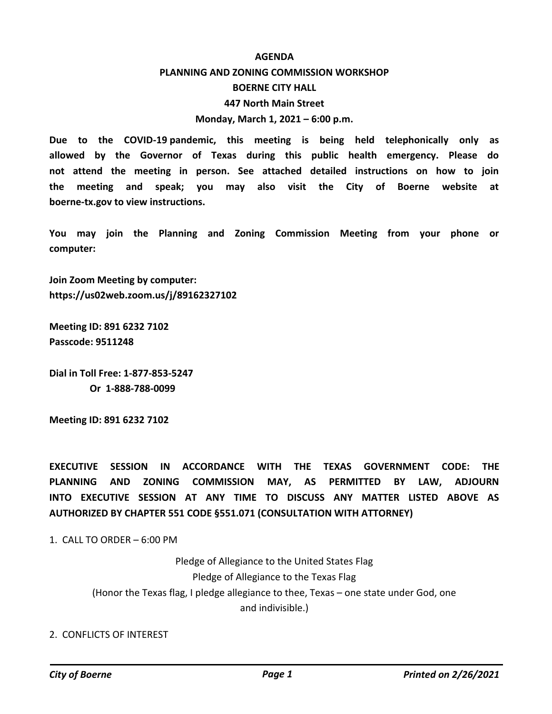#### **AGENDA**

# **PLANNING AND ZONING COMMISSION WORKSHOP BOERNE CITY HALL 447 North Main Street Monday, March 1, 2021 – 6:00 p.m.**

**Due to the COVID-19 pandemic, this meeting is being held telephonically only as allowed by the Governor of Texas during this public health emergency. Please do not attend the meeting in person. See attached detailed instructions on how to join the meeting and speak; you may also visit the City of Boerne website at boerne-tx.gov to view instructions.**

**You may join the Planning and Zoning Commission Meeting from your phone or computer:** 

**Join Zoom Meeting by computer: https://us02web.zoom.us/j/89162327102**

**Meeting ID: 891 6232 7102 Passcode: 9511248**

**Dial in Toll Free: 1-877-853-5247 Or 1-888-788-0099**

**Meeting ID: 891 6232 7102**

**EXECUTIVE SESSION IN ACCORDANCE WITH THE TEXAS GOVERNMENT CODE: THE PLANNING AND ZONING COMMISSION MAY, AS PERMITTED BY LAW, ADJOURN INTO EXECUTIVE SESSION AT ANY TIME TO DISCUSS ANY MATTER LISTED ABOVE AS AUTHORIZED BY CHAPTER 551 CODE §551.071 (CONSULTATION WITH ATTORNEY)**

1. CALL TO ORDER – 6:00 PM

Pledge of Allegiance to the United States Flag Pledge of Allegiance to the Texas Flag (Honor the Texas flag, I pledge allegiance to thee, Texas – one state under God, one and indivisible.)

#### 2. CONFLICTS OF INTEREST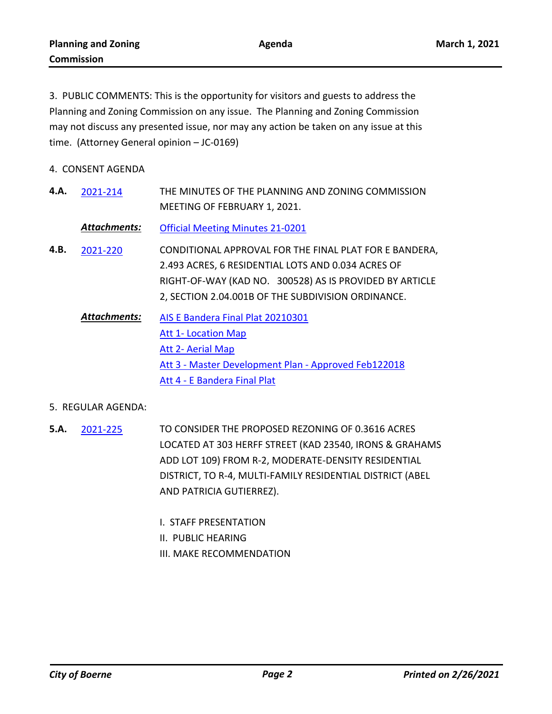3. PUBLIC COMMENTS: This is the opportunity for visitors and guests to address the Planning and Zoning Commission on any issue. The Planning and Zoning Commission may not discuss any presented issue, nor may any action be taken on any issue at this time. (Attorney General opinion – JC-0169)

- 4. CONSENT AGENDA
- THE MINUTES OF THE PLANNING AND ZONING COMMISSION MEETING OF FEBRUARY 1, 2021. **4.A.** [2021-214](http://boerne.legistar.com/gateway.aspx?m=l&id=/matter.aspx?key=5786)

*Attachments:* [Official Meeting Minutes 21-0201](http://boerne.legistar.com/gateway.aspx?M=F&ID=5580d29b-ee41-48f7-8af1-e78019975d9a.pdf)

- CONDITIONAL APPROVAL FOR THE FINAL PLAT FOR E BANDERA, 2.493 ACRES, 6 RESIDENTIAL LOTS AND 0.034 ACRES OF RIGHT-OF-WAY (KAD NO. 300528) AS IS PROVIDED BY ARTICLE 2, SECTION 2.04.001B OF THE SUBDIVISION ORDINANCE. **4.B.** [2021-220](http://boerne.legistar.com/gateway.aspx?m=l&id=/matter.aspx?key=5789)
	- [AIS E Bandera Final Plat 20210301](http://boerne.legistar.com/gateway.aspx?M=F&ID=28b68552-e4b0-44eb-a5ca-ba0d7be88026.doc) [Att 1- Location Map](http://boerne.legistar.com/gateway.aspx?M=F&ID=41e27e70-1271-4e0d-8993-ec3bbd097d28.pdf) [Att 2- Aerial Map](http://boerne.legistar.com/gateway.aspx?M=F&ID=3aaa8932-d3f4-4f18-ab71-78f5046a57ec.pdf) [Att 3 - Master Development Plan - Approved Feb122018](http://boerne.legistar.com/gateway.aspx?M=F&ID=d43c669b-de51-4731-8652-ebc005564f75.pdf) [Att 4 - E Bandera Final Plat](http://boerne.legistar.com/gateway.aspx?M=F&ID=3d36ef92-5b6b-4f76-af7c-adc625d2c4d8.pdf) *Attachments:*

### 5. REGULAR AGENDA:

- TO CONSIDER THE PROPOSED REZONING OF 0.3616 ACRES LOCATED AT 303 HERFF STREET (KAD 23540, IRONS & GRAHAMS ADD LOT 109) FROM R-2, MODERATE-DENSITY RESIDENTIAL DISTRICT, TO R-4, MULTI-FAMILY RESIDENTIAL DISTRICT (ABEL AND PATRICIA GUTIERREZ). **5.A.** [2021-225](http://boerne.legistar.com/gateway.aspx?m=l&id=/matter.aspx?key=5791)
	- I. STAFF PRESENTATION
	- II. PUBLIC HEARING
	- III. MAKE RECOMMENDATION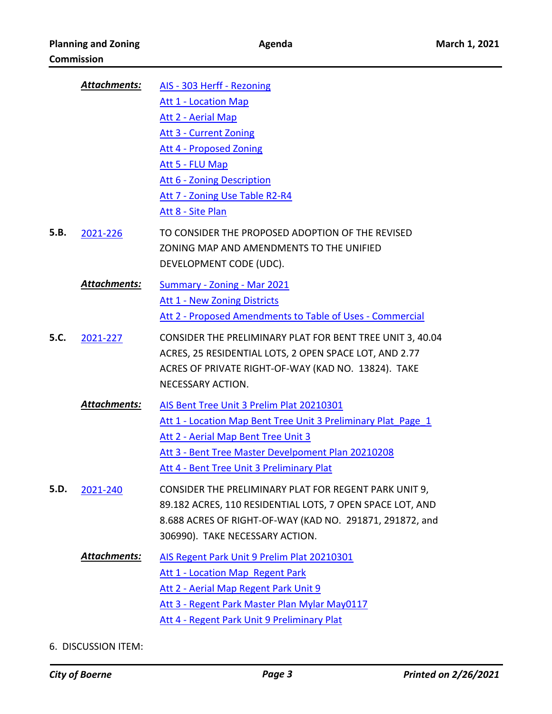|      | <b>Attachments:</b> | AIS - 303 Herff - Rezoning                                    |
|------|---------------------|---------------------------------------------------------------|
|      |                     | <b>Att 1 - Location Map</b>                                   |
|      |                     | <b>Att 2 - Aerial Map</b>                                     |
|      |                     | <b>Att 3 - Current Zoning</b>                                 |
|      |                     | <b>Att 4 - Proposed Zoning</b>                                |
|      |                     | Att 5 - FLU Map                                               |
|      |                     | Att 6 - Zoning Description                                    |
|      |                     | Att 7 - Zoning Use Table R2-R4                                |
|      |                     | Att 8 - Site Plan                                             |
| 5.B. | 2021-226            | TO CONSIDER THE PROPOSED ADOPTION OF THE REVISED              |
|      |                     | ZONING MAP AND AMENDMENTS TO THE UNIFIED                      |
|      |                     | DEVELOPMENT CODE (UDC).                                       |
|      | Attachments:        | Summary - Zoning - Mar 2021                                   |
|      |                     | Att 1 - New Zoning Districts                                  |
|      |                     | Att 2 - Proposed Amendments to Table of Uses - Commercial     |
| 5.C. | 2021-227            | CONSIDER THE PRELIMINARY PLAT FOR BENT TREE UNIT 3, 40.04     |
|      |                     | ACRES, 25 RESIDENTIAL LOTS, 2 OPEN SPACE LOT, AND 2.77        |
|      |                     | ACRES OF PRIVATE RIGHT-OF-WAY (KAD NO. 13824). TAKE           |
|      |                     | NECESSARY ACTION.                                             |
|      |                     |                                                               |
|      | Attachments:        | AIS Bent Tree Unit 3 Prelim Plat 20210301                     |
|      |                     | Att 1 - Location Map Bent Tree Unit 3 Preliminary Plat Page 1 |
|      |                     | Att 2 - Aerial Map Bent Tree Unit 3                           |
|      |                     | Att 3 - Bent Tree Master Develpoment Plan 20210208            |
|      |                     | Att 4 - Bent Tree Unit 3 Preliminary Plat                     |
| 5.D. | 2021-240            | CONSIDER THE PRELIMINARY PLAT FOR REGENT PARK UNIT 9,         |
|      |                     | 89.182 ACRES, 110 RESIDENTIAL LOTS, 7 OPEN SPACE LOT, AND     |
|      |                     | 8.688 ACRES OF RIGHT-OF-WAY (KAD NO. 291871, 291872, and      |
|      |                     | 306990). TAKE NECESSARY ACTION.                               |
|      | <b>Attachments:</b> | AIS Regent Park Unit 9 Prelim Plat 20210301                   |
|      |                     | <b>Att 1 - Location Map Regent Park</b>                       |
|      |                     | Att 2 - Aerial Map Regent Park Unit 9                         |
|      |                     | Att 3 - Regent Park Master Plan Mylar May0117                 |
|      |                     | Att 4 - Regent Park Unit 9 Preliminary Plat                   |
|      |                     |                                                               |

6. DISCUSSION ITEM: